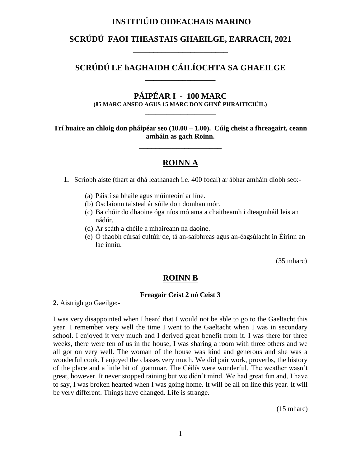# **INSTITIÚID OIDEACHAIS MARINO**

# **SCRÚDÚ FAOI THEASTAIS GHAEILGE, EARRACH, 2021 \_\_\_\_\_\_\_\_\_\_\_\_\_\_\_\_\_\_\_\_\_\_\_**

# **SCRÚDÚ LE hAGHAIDH CÁILÍOCHTA SA GHAEILGE** \_\_\_\_\_\_\_\_\_\_\_\_\_\_\_\_\_

# **PÁIPÉAR I - 100 MARC**

**(85 MARC ANSEO AGUS 15 MARC DON GHNÉ PHRAITICIÚIL)** \_\_\_\_\_\_\_\_\_\_\_\_\_\_\_\_\_\_\_\_

#### **Trí huaire an chloig don pháipéar seo (10.00 – 1.00). Cúig cheist a fhreagairt, ceann amháin as gach Roinn.**

\_\_\_\_\_\_\_\_\_\_\_\_\_\_\_\_\_\_\_\_

### **ROINN A**

**1.** Scríobh aiste (thart ar dhá leathanach i.e. 400 focal) ar ábhar amháin díobh seo:-

- (a) Páistí sa bhaile agus múinteoirí ar líne.
- (b) Osclaíonn taisteal ár súile don domhan mór.
- (c) Ba chóir do dhaoine óga níos mó ama a chaitheamh i dteagmháil leis an nádúr.
- (d) Ar scáth a chéile a mhaireann na daoine.
- (e) Ó thaobh cúrsaí cultúir de, tá an-saibhreas agus an-éagsúlacht in Éirinn an lae inniu.

(35 mharc)

### **ROINN B**

#### **Freagair Ceist 2 nó Ceist 3**

**2.** Aistrigh go Gaeilge:-

I was very disappointed when I heard that I would not be able to go to the Gaeltacht this year. I remember very well the time I went to the Gaeltacht when I was in secondary school. I enjoyed it very much and I derived great benefit from it. I was there for three weeks, there were ten of us in the house, I was sharing a room with three others and we all got on very well. The woman of the house was kind and generous and she was a wonderful cook. I enjoyed the classes very much. We did pair work, proverbs, the history of the place and a little bit of grammar. The Céilís were wonderful. The weather wasn't great, however. It never stopped raining but we didn't mind. We had great fun and, I have to say, I was broken hearted when I was going home. It will be all on line this year. It will be very different. Things have changed. Life is strange.

(15 mharc)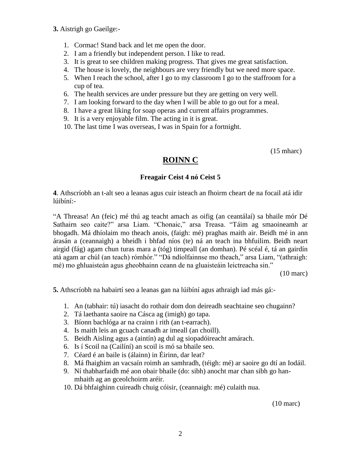- **3.** Aistrigh go Gaeilge:-
	- 1. Cormac! Stand back and let me open the door.
	- 2. I am a friendly but independent person. I like to read.
	- 3. It is great to see children making progress. That gives me great satisfaction.
	- 4. The house is lovely, the neighbours are very friendly but we need more space.
	- 5. When I reach the school, after I go to my classroom I go to the staffroom for a cup of tea.
	- 6. The health services are under pressure but they are getting on very well.
	- 7. I am looking forward to the day when I will be able to go out for a meal.
	- 8. I have a great liking for soap operas and current affairs programmes.
	- 9. It is a very enjoyable film. The acting in it is great.
	- 10. The last time I was overseas, I was in Spain for a fortnight.

(15 mharc)

### **ROINN C**

#### **Freagair Ceist 4 nó Ceist 5**

**4**. Athscríobh an t-alt seo a leanas agus cuir isteach an fhoirm cheart de na focail atá idir lúibíní:-

"A Threasa! An (feic) mé thú ag teacht amach as oifig (an ceantálaí) sa bhaile mór Dé Sathairn seo caite?" arsa Liam. "Chonaic," arsa Treasa. "Táim ag smaoineamh ar bhogadh. Má dhíolaim mo theach anois, (faigh: mé) praghas maith air. Beidh mé in ann árasán a (ceannaigh) a bheidh i bhfad níos (te) ná an teach ina bhfuilim. Beidh neart airgid (fág) agam chun turas mara a (tóg) timpeall (an domhan). Pé scéal é, tá an gairdín atá agam ar chúl (an teach) rómhór." "Dá ndíolfainnse mo theach," arsa Liam, "(athraigh: mé) mo ghluaisteán agus gheobhainn ceann de na gluaisteáin leictreacha sin."

(10 marc)

**5.** Athscríobh na habairtí seo a leanas gan na lúibíní agus athraigh iad más gá:-

- 1. An (tabhair: tú) iasacht do rothair dom don deireadh seachtaine seo chugainn?
- 2. Tá laethanta saoire na Cásca ag (imigh) go tapa.
- 3. Bíonn bachlóga ar na crainn i rith (an t-earrach).
- 4. Is maith leis an gcuach canadh ar imeall (an choill).
- 5. Beidh Aisling agus a (aintín) ag dul ag siopadóireacht amárach.
- 6. Is í Scoil na (Cailíní) an scoil is mó sa bhaile seo.
- 7. Céard é an baile is (álainn) in Éirinn, dar leat?
- 8. Má fhaighim an vacsaín roimh an samhradh, (téigh: mé) ar saoire go dtí an Iodáil.
- 9. Ní thabharfaidh mé aon obair bhaile (do: sibh) anocht mar chan sibh go hanmhaith ag an gceolchoirm aréir.
- 10. Dá bhfaighinn cuireadh chuig cóisir, (ceannaigh: mé) culaith nua.

(10 marc)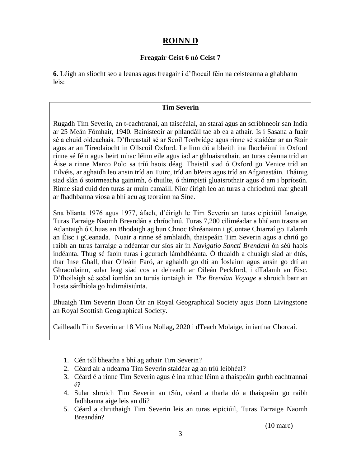### **ROINN D**

### **Freagair Ceist 6 nó Ceist 7**

**6.** Léigh an sliocht seo a leanas agus freagair i d'fhocail féin na ceisteanna a ghabhann leis:

### **Tim Severin**

Rugadh Tim Severin, an t-eachtranaí, an taiscéalaí, an staraí agus an scríbhneoir san India ar 25 Meán Fómhair, 1940. Bainisteoir ar phlandáil tae ab ea a athair. Is i Sasana a fuair sé a chuid oideachais. D'fhreastail sé ar Scoil Tonbridge agus rinne sé staidéar ar an Stair agus ar an Tíreolaíocht in Ollscoil Oxford. Le linn dó a bheith ina fhochéimí in Oxford rinne sé féin agus beirt mhac léinn eile agus iad ar ghluaisrothair, an turas céanna tríd an Áise a rinne Marco Polo sa tríú haois déag. Thaistil siad ó Oxford go Venice tríd an Eilvéis, ar aghaidh leo ansin tríd an Tuirc, tríd an bPeirs agus tríd an Afganastáin. Tháinig siad slán ó stoirmeacha gainimh, ó thuilte, ó thimpistí gluaisrothair agus ó am i bpríosún. Rinne siad cuid den turas ar muin camaill. Níor éirigh leo an turas a chríochnú mar gheall ar fhadhbanna víosa a bhí acu ag teorainn na Síne.

Sna blianta 1976 agus 1977, áfach, d'éirigh le Tim Severin an turas eipiciúil farraige, Turas Farraige Naomh Breandán a chríochnú. Turas 7,200 ciliméadar a bhí ann trasna an Atlantaigh ó Chuas an Bhodaigh ag bun Chnoc Bhréanainn i gContae Chiarraí go Talamh an Éisc i gCeanada. Nuair a rinne sé amhlaidh, thaispeáin Tim Severin agus a chriú go raibh an turas farraige a ndéantar cur síos air in *Navigatio Sancti Brendani* ón séú haois indéanta. Thug sé faoin turas i gcurach lámhdhéanta. Ó thuaidh a chuaigh siad ar dtús, thar Inse Ghall, thar Oileáin Faró, ar aghaidh go dtí an Íoslainn agus ansin go dtí an Ghraonlainn, sular leag siad cos ar deireadh ar Oileán Peckford, i dTalamh an Éisc. D'fhoilsigh sé scéal iomlán an turais iontaigh in *The Brendan Voyage* a shroich barr an liosta sárdhíola go hidirnáisiúnta.

Bhuaigh Tim Severin Bonn Óir an Royal Geographical Society agus Bonn Livingstone an Royal Scottish Geographical Society.

Cailleadh Tim Severin ar 18 Mí na Nollag, 2020 i dTeach Molaige, in iarthar Chorcaí.

- 1. Cén tslí bheatha a bhí ag athair Tim Severin?
- 2. Céard air a ndearna Tim Severin staidéar ag an tríú leibhéal?
- 3. Céard é a rinne Tim Severin agus é ina mhac léinn a thaispeáin gurbh eachtrannaí é?
- 4. Sular shroich Tim Severin an tSín, céard a tharla dó a thaispeáin go raibh fadhbanna aige leis an dlí?
- 5. Céard a chruthaigh Tim Severin leis an turas eipiciúil, Turas Farraige Naomh Breandán?

(10 marc)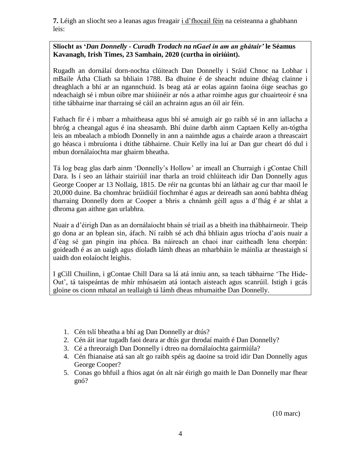**7.** Léigh an sliocht seo a leanas agus freagair i d'fhocail féin na ceisteanna a ghabhann leis:

#### **Sliocht as '***Dan Donnelly - Curadh Trodach na nGael in am an ghátair'* **le Séamus Kavanagh, Irish Times, 23 Samhain, 2020 (curtha in oiriúint).**

Rugadh an dornálaí dorn-nochta clúiteach Dan Donnelly i Sráid Chnoc na Lobhar i mBaile Átha Cliath sa bhliain 1788. Ba dhuine é de sheacht nduine dhéag clainne i dteaghlach a bhí ar an ngannchuid. Is beag atá ar eolas againn faoina óige seachas go ndeachaigh sé i mbun oibre mar shiúinéir ar nós a athar roimhe agus gur chuairteoir é sna tithe tábhairne inar tharraing sé cáil an achrainn agus an óil air féin.

Fathach fir é i mbarr a mhaitheasa agus bhí sé amuigh air go raibh sé in ann iallacha a bhróg a cheangal agus é ina sheasamh. Bhí duine darbh ainm Captaen Kelly an-tógtha leis an mbealach a mbíodh Donnelly in ann a naimhde agus a chairde araon a threascairt go héasca i mbruíonta i dtithe tábhairne. Chuir Kelly ina luí ar Dan gur cheart dó dul i mbun dornálaíochta mar ghairm bheatha.

Tá log beag glas darb ainm 'Donnelly's Hollow' ar imeall an Churraigh i gContae Chill Dara. Is í seo an láthair stairiúil inar tharla an troid chlúiteach idir Dan Donnelly agus George Cooper ar 13 Nollaig, 1815. De réir na gcuntas bhí an láthair ag cur thar maoil le 20,000 duine. Ba chomhrac brúidiúil fíochmhar é agus ar deireadh san aonú babhta dhéag tharraing Donnelly dorn ar Cooper a bhris a chnámh géill agus a d'fhág é ar shlat a dhroma gan aithne gan urlabhra.

Nuair a d'éirigh Dan as an dornálaíocht bhain sé triail as a bheith ina thábhairneoir. Theip go dona ar an bplean sin, áfach. Ní raibh sé ach dhá bhliain agus tríocha d'aois nuair a d'éag sé gan pingin ina phóca. Ba náireach an chaoi inar caitheadh lena chorpán: goideadh é as an uaigh agus díoladh lámh dheas an mharbháin le máinlia ar theastaigh sí uaidh don eolaíocht leighis.

I gCill Chuilinn, i gContae Chill Dara sa lá atá inniu ann, sa teach tábhairne 'The Hide-Out', tá taispeántas de mhír mhúsaeim atá iontach aisteach agus scanrúil. Istigh i gcás gloine os cionn mhatal an teallaigh tá lámh dheas mhumaithe Dan Donnelly.

- 1. Cén tslí bheatha a bhí ag Dan Donnelly ar dtús?
- 2. Cén áit inar tugadh faoi deara ar dtús gur throdaí maith é Dan Donnelly?
- 3. Cé a threoraigh Dan Donnelly i dtreo na dornálaíochta gairmiúla?
- 4. Cén fhianaise atá san alt go raibh spéis ag daoine sa troid idir Dan Donnelly agus George Cooper?
- 5. Conas go bhfuil a fhios agat ón alt nár éirigh go maith le Dan Donnelly mar fhear gnó?